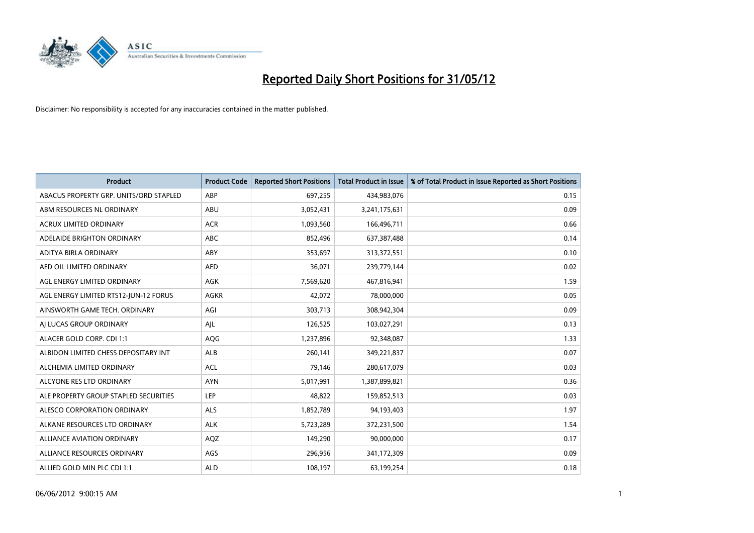

| <b>Product</b>                         | <b>Product Code</b> | <b>Reported Short Positions</b> | <b>Total Product in Issue</b> | % of Total Product in Issue Reported as Short Positions |
|----------------------------------------|---------------------|---------------------------------|-------------------------------|---------------------------------------------------------|
| ABACUS PROPERTY GRP. UNITS/ORD STAPLED | ABP                 | 697,255                         | 434,983,076                   | 0.15                                                    |
| ABM RESOURCES NL ORDINARY              | ABU                 | 3,052,431                       | 3,241,175,631                 | 0.09                                                    |
| <b>ACRUX LIMITED ORDINARY</b>          | <b>ACR</b>          | 1,093,560                       | 166,496,711                   | 0.66                                                    |
| ADELAIDE BRIGHTON ORDINARY             | <b>ABC</b>          | 852,496                         | 637,387,488                   | 0.14                                                    |
| ADITYA BIRLA ORDINARY                  | ABY                 | 353,697                         | 313,372,551                   | 0.10                                                    |
| AED OIL LIMITED ORDINARY               | <b>AED</b>          | 36,071                          | 239,779,144                   | 0.02                                                    |
| AGL ENERGY LIMITED ORDINARY            | AGK                 | 7,569,620                       | 467,816,941                   | 1.59                                                    |
| AGL ENERGY LIMITED RTS12-JUN-12 FORUS  | <b>AGKR</b>         | 42,072                          | 78,000,000                    | 0.05                                                    |
| AINSWORTH GAME TECH. ORDINARY          | AGI                 | 303,713                         | 308,942,304                   | 0.09                                                    |
| AI LUCAS GROUP ORDINARY                | AJL                 | 126,525                         | 103,027,291                   | 0.13                                                    |
| ALACER GOLD CORP. CDI 1:1              | AQG                 | 1,237,896                       | 92,348,087                    | 1.33                                                    |
| ALBIDON LIMITED CHESS DEPOSITARY INT   | <b>ALB</b>          | 260,141                         | 349,221,837                   | 0.07                                                    |
| ALCHEMIA LIMITED ORDINARY              | <b>ACL</b>          | 79,146                          | 280,617,079                   | 0.03                                                    |
| ALCYONE RES LTD ORDINARY               | <b>AYN</b>          | 5,017,991                       | 1,387,899,821                 | 0.36                                                    |
| ALE PROPERTY GROUP STAPLED SECURITIES  | <b>LEP</b>          | 48,822                          | 159,852,513                   | 0.03                                                    |
| ALESCO CORPORATION ORDINARY            | ALS                 | 1,852,789                       | 94,193,403                    | 1.97                                                    |
| ALKANE RESOURCES LTD ORDINARY          | <b>ALK</b>          | 5,723,289                       | 372,231,500                   | 1.54                                                    |
| ALLIANCE AVIATION ORDINARY             | AQZ                 | 149,290                         | 90,000,000                    | 0.17                                                    |
| ALLIANCE RESOURCES ORDINARY            | AGS                 | 296,956                         | 341,172,309                   | 0.09                                                    |
| ALLIED GOLD MIN PLC CDI 1:1            | <b>ALD</b>          | 108,197                         | 63,199,254                    | 0.18                                                    |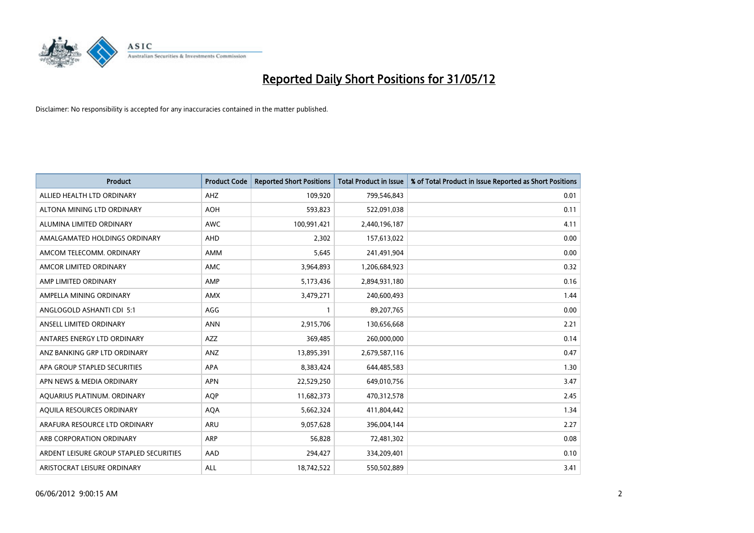

| <b>Product</b>                          | <b>Product Code</b> | <b>Reported Short Positions</b> | <b>Total Product in Issue</b> | % of Total Product in Issue Reported as Short Positions |
|-----------------------------------------|---------------------|---------------------------------|-------------------------------|---------------------------------------------------------|
| ALLIED HEALTH LTD ORDINARY              | AHZ                 | 109,920                         | 799,546,843                   | 0.01                                                    |
| ALTONA MINING LTD ORDINARY              | <b>AOH</b>          | 593,823                         | 522,091,038                   | 0.11                                                    |
| ALUMINA LIMITED ORDINARY                | <b>AWC</b>          | 100,991,421                     | 2,440,196,187                 | 4.11                                                    |
| AMALGAMATED HOLDINGS ORDINARY           | <b>AHD</b>          | 2,302                           | 157,613,022                   | 0.00                                                    |
| AMCOM TELECOMM, ORDINARY                | AMM                 | 5,645                           | 241,491,904                   | 0.00                                                    |
| AMCOR LIMITED ORDINARY                  | <b>AMC</b>          | 3,964,893                       | 1,206,684,923                 | 0.32                                                    |
| AMP LIMITED ORDINARY                    | AMP                 | 5,173,436                       | 2,894,931,180                 | 0.16                                                    |
| AMPELLA MINING ORDINARY                 | AMX                 | 3,479,271                       | 240,600,493                   | 1.44                                                    |
| ANGLOGOLD ASHANTI CDI 5:1               | AGG                 | 1                               | 89,207,765                    | 0.00                                                    |
| ANSELL LIMITED ORDINARY                 | <b>ANN</b>          | 2,915,706                       | 130,656,668                   | 2.21                                                    |
| ANTARES ENERGY LTD ORDINARY             | AZZ                 | 369,485                         | 260,000,000                   | 0.14                                                    |
| ANZ BANKING GRP LTD ORDINARY            | ANZ                 | 13,895,391                      | 2,679,587,116                 | 0.47                                                    |
| APA GROUP STAPLED SECURITIES            | <b>APA</b>          | 8,383,424                       | 644,485,583                   | 1.30                                                    |
| APN NEWS & MEDIA ORDINARY               | <b>APN</b>          | 22,529,250                      | 649,010,756                   | 3.47                                                    |
| AQUARIUS PLATINUM. ORDINARY             | AQP                 | 11,682,373                      | 470,312,578                   | 2.45                                                    |
| AQUILA RESOURCES ORDINARY               | <b>AQA</b>          | 5,662,324                       | 411,804,442                   | 1.34                                                    |
| ARAFURA RESOURCE LTD ORDINARY           | ARU                 | 9,057,628                       | 396,004,144                   | 2.27                                                    |
| ARB CORPORATION ORDINARY                | <b>ARP</b>          | 56,828                          | 72,481,302                    | 0.08                                                    |
| ARDENT LEISURE GROUP STAPLED SECURITIES | AAD                 | 294,427                         | 334,209,401                   | 0.10                                                    |
| ARISTOCRAT LEISURE ORDINARY             | ALL                 | 18,742,522                      | 550,502,889                   | 3.41                                                    |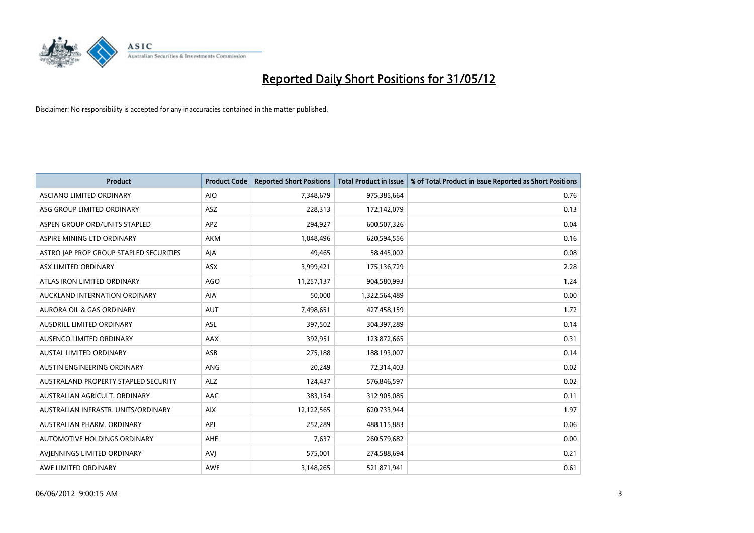

| <b>Product</b>                          | <b>Product Code</b> | <b>Reported Short Positions</b> | <b>Total Product in Issue</b> | % of Total Product in Issue Reported as Short Positions |
|-----------------------------------------|---------------------|---------------------------------|-------------------------------|---------------------------------------------------------|
| ASCIANO LIMITED ORDINARY                | <b>AIO</b>          | 7,348,679                       | 975,385,664                   | 0.76                                                    |
| ASG GROUP LIMITED ORDINARY              | ASZ                 | 228,313                         | 172,142,079                   | 0.13                                                    |
| ASPEN GROUP ORD/UNITS STAPLED           | <b>APZ</b>          | 294,927                         | 600,507,326                   | 0.04                                                    |
| ASPIRE MINING LTD ORDINARY              | <b>AKM</b>          | 1,048,496                       | 620,594,556                   | 0.16                                                    |
| ASTRO JAP PROP GROUP STAPLED SECURITIES | AJA                 | 49,465                          | 58,445,002                    | 0.08                                                    |
| ASX LIMITED ORDINARY                    | ASX                 | 3,999,421                       | 175,136,729                   | 2.28                                                    |
| ATLAS IRON LIMITED ORDINARY             | <b>AGO</b>          | 11,257,137                      | 904,580,993                   | 1.24                                                    |
| AUCKLAND INTERNATION ORDINARY           | AIA                 | 50,000                          | 1,322,564,489                 | 0.00                                                    |
| <b>AURORA OIL &amp; GAS ORDINARY</b>    | <b>AUT</b>          | 7,498,651                       | 427,458,159                   | 1.72                                                    |
| AUSDRILL LIMITED ORDINARY               | <b>ASL</b>          | 397,502                         | 304,397,289                   | 0.14                                                    |
| AUSENCO LIMITED ORDINARY                | AAX                 | 392,951                         | 123,872,665                   | 0.31                                                    |
| AUSTAL LIMITED ORDINARY                 | ASB                 | 275,188                         | 188,193,007                   | 0.14                                                    |
| AUSTIN ENGINEERING ORDINARY             | ANG                 | 20,249                          | 72,314,403                    | 0.02                                                    |
| AUSTRALAND PROPERTY STAPLED SECURITY    | <b>ALZ</b>          | 124,437                         | 576,846,597                   | 0.02                                                    |
| AUSTRALIAN AGRICULT. ORDINARY           | AAC                 | 383,154                         | 312,905,085                   | 0.11                                                    |
| AUSTRALIAN INFRASTR, UNITS/ORDINARY     | <b>AIX</b>          | 12,122,565                      | 620,733,944                   | 1.97                                                    |
| AUSTRALIAN PHARM. ORDINARY              | API                 | 252,289                         | 488,115,883                   | 0.06                                                    |
| AUTOMOTIVE HOLDINGS ORDINARY            | <b>AHE</b>          | 7,637                           | 260,579,682                   | 0.00                                                    |
| AVIENNINGS LIMITED ORDINARY             | <b>AVI</b>          | 575,001                         | 274,588,694                   | 0.21                                                    |
| AWE LIMITED ORDINARY                    | <b>AWE</b>          | 3,148,265                       | 521,871,941                   | 0.61                                                    |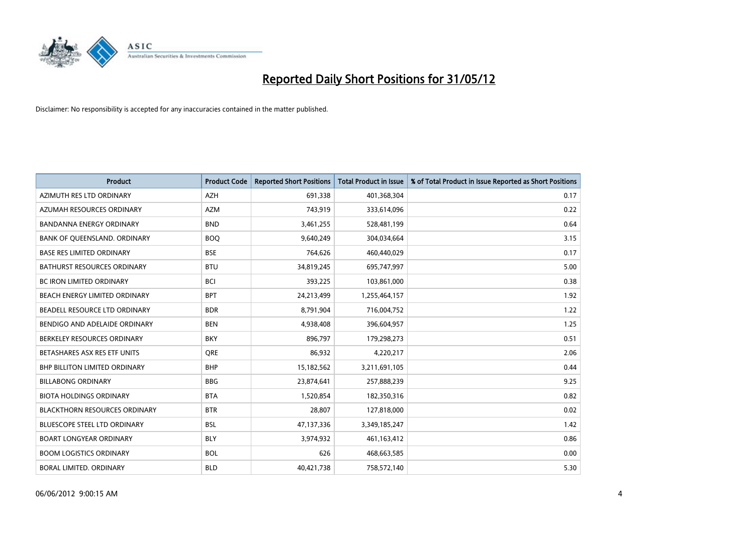

| <b>Product</b>                       | <b>Product Code</b> | <b>Reported Short Positions</b> | <b>Total Product in Issue</b> | % of Total Product in Issue Reported as Short Positions |
|--------------------------------------|---------------------|---------------------------------|-------------------------------|---------------------------------------------------------|
| AZIMUTH RES LTD ORDINARY             | <b>AZH</b>          | 691,338                         | 401,368,304                   | 0.17                                                    |
| AZUMAH RESOURCES ORDINARY            | <b>AZM</b>          | 743,919                         | 333,614,096                   | 0.22                                                    |
| <b>BANDANNA ENERGY ORDINARY</b>      | <b>BND</b>          | 3,461,255                       | 528,481,199                   | 0.64                                                    |
| BANK OF QUEENSLAND. ORDINARY         | <b>BOQ</b>          | 9,640,249                       | 304,034,664                   | 3.15                                                    |
| <b>BASE RES LIMITED ORDINARY</b>     | <b>BSE</b>          | 764,626                         | 460,440,029                   | 0.17                                                    |
| <b>BATHURST RESOURCES ORDINARY</b>   | <b>BTU</b>          | 34,819,245                      | 695,747,997                   | 5.00                                                    |
| <b>BC IRON LIMITED ORDINARY</b>      | <b>BCI</b>          | 393,225                         | 103,861,000                   | 0.38                                                    |
| BEACH ENERGY LIMITED ORDINARY        | <b>BPT</b>          | 24,213,499                      | 1,255,464,157                 | 1.92                                                    |
| BEADELL RESOURCE LTD ORDINARY        | <b>BDR</b>          | 8,791,904                       | 716,004,752                   | 1.22                                                    |
| BENDIGO AND ADELAIDE ORDINARY        | <b>BEN</b>          | 4,938,408                       | 396,604,957                   | 1.25                                                    |
| BERKELEY RESOURCES ORDINARY          | <b>BKY</b>          | 896,797                         | 179,298,273                   | 0.51                                                    |
| BETASHARES ASX RES ETF UNITS         | <b>ORE</b>          | 86,932                          | 4,220,217                     | 2.06                                                    |
| <b>BHP BILLITON LIMITED ORDINARY</b> | <b>BHP</b>          | 15,182,562                      | 3,211,691,105                 | 0.44                                                    |
| <b>BILLABONG ORDINARY</b>            | <b>BBG</b>          | 23,874,641                      | 257,888,239                   | 9.25                                                    |
| <b>BIOTA HOLDINGS ORDINARY</b>       | <b>BTA</b>          | 1,520,854                       | 182,350,316                   | 0.82                                                    |
| <b>BLACKTHORN RESOURCES ORDINARY</b> | <b>BTR</b>          | 28,807                          | 127,818,000                   | 0.02                                                    |
| BLUESCOPE STEEL LTD ORDINARY         | <b>BSL</b>          | 47,137,336                      | 3,349,185,247                 | 1.42                                                    |
| <b>BOART LONGYEAR ORDINARY</b>       | <b>BLY</b>          | 3,974,932                       | 461,163,412                   | 0.86                                                    |
| <b>BOOM LOGISTICS ORDINARY</b>       | <b>BOL</b>          | 626                             | 468,663,585                   | 0.00                                                    |
| BORAL LIMITED. ORDINARY              | <b>BLD</b>          | 40,421,738                      | 758,572,140                   | 5.30                                                    |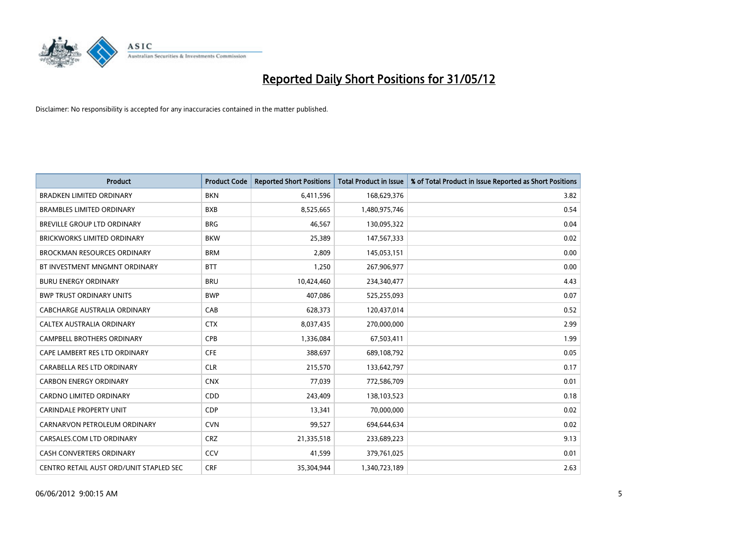

| <b>Product</b>                          | <b>Product Code</b> | <b>Reported Short Positions</b> | <b>Total Product in Issue</b> | % of Total Product in Issue Reported as Short Positions |
|-----------------------------------------|---------------------|---------------------------------|-------------------------------|---------------------------------------------------------|
| <b>BRADKEN LIMITED ORDINARY</b>         | <b>BKN</b>          | 6,411,596                       | 168,629,376                   | 3.82                                                    |
| <b>BRAMBLES LIMITED ORDINARY</b>        | <b>BXB</b>          | 8,525,665                       | 1,480,975,746                 | 0.54                                                    |
| <b>BREVILLE GROUP LTD ORDINARY</b>      | <b>BRG</b>          | 46,567                          | 130,095,322                   | 0.04                                                    |
| <b>BRICKWORKS LIMITED ORDINARY</b>      | <b>BKW</b>          | 25,389                          | 147,567,333                   | 0.02                                                    |
| <b>BROCKMAN RESOURCES ORDINARY</b>      | <b>BRM</b>          | 2,809                           | 145,053,151                   | 0.00                                                    |
| BT INVESTMENT MNGMNT ORDINARY           | <b>BTT</b>          | 1,250                           | 267,906,977                   | 0.00                                                    |
| <b>BURU ENERGY ORDINARY</b>             | <b>BRU</b>          | 10,424,460                      | 234,340,477                   | 4.43                                                    |
| <b>BWP TRUST ORDINARY UNITS</b>         | <b>BWP</b>          | 407,086                         | 525,255,093                   | 0.07                                                    |
| CABCHARGE AUSTRALIA ORDINARY            | CAB                 | 628,373                         | 120,437,014                   | 0.52                                                    |
| CALTEX AUSTRALIA ORDINARY               | <b>CTX</b>          | 8,037,435                       | 270,000,000                   | 2.99                                                    |
| <b>CAMPBELL BROTHERS ORDINARY</b>       | <b>CPB</b>          | 1,336,084                       | 67,503,411                    | 1.99                                                    |
| CAPE LAMBERT RES LTD ORDINARY           | <b>CFE</b>          | 388,697                         | 689,108,792                   | 0.05                                                    |
| CARABELLA RES LTD ORDINARY              | <b>CLR</b>          | 215,570                         | 133,642,797                   | 0.17                                                    |
| <b>CARBON ENERGY ORDINARY</b>           | <b>CNX</b>          | 77,039                          | 772,586,709                   | 0.01                                                    |
| <b>CARDNO LIMITED ORDINARY</b>          | CDD                 | 243,409                         | 138,103,523                   | 0.18                                                    |
| CARINDALE PROPERTY UNIT                 | <b>CDP</b>          | 13,341                          | 70,000,000                    | 0.02                                                    |
| CARNARVON PETROLEUM ORDINARY            | <b>CVN</b>          | 99,527                          | 694,644,634                   | 0.02                                                    |
| CARSALES.COM LTD ORDINARY               | <b>CRZ</b>          | 21,335,518                      | 233,689,223                   | 9.13                                                    |
| <b>CASH CONVERTERS ORDINARY</b>         | CCV                 | 41,599                          | 379,761,025                   | 0.01                                                    |
| CENTRO RETAIL AUST ORD/UNIT STAPLED SEC | <b>CRF</b>          | 35,304,944                      | 1,340,723,189                 | 2.63                                                    |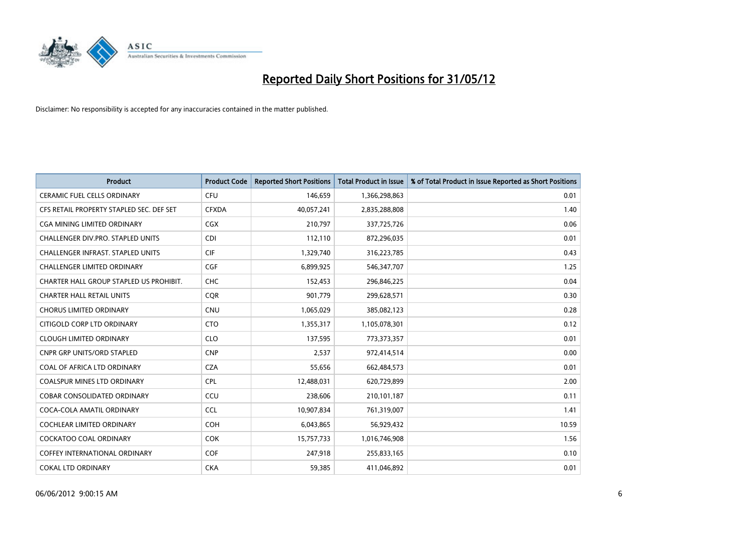

| <b>Product</b>                           | <b>Product Code</b> | <b>Reported Short Positions</b> | <b>Total Product in Issue</b> | % of Total Product in Issue Reported as Short Positions |
|------------------------------------------|---------------------|---------------------------------|-------------------------------|---------------------------------------------------------|
| <b>CERAMIC FUEL CELLS ORDINARY</b>       | <b>CFU</b>          | 146,659                         | 1,366,298,863                 | 0.01                                                    |
| CFS RETAIL PROPERTY STAPLED SEC. DEF SET | <b>CFXDA</b>        | 40,057,241                      | 2,835,288,808                 | 1.40                                                    |
| CGA MINING LIMITED ORDINARY              | CGX                 | 210,797                         | 337,725,726                   | 0.06                                                    |
| CHALLENGER DIV.PRO. STAPLED UNITS        | <b>CDI</b>          | 112,110                         | 872,296,035                   | 0.01                                                    |
| <b>CHALLENGER INFRAST, STAPLED UNITS</b> | <b>CIF</b>          | 1,329,740                       | 316,223,785                   | 0.43                                                    |
| <b>CHALLENGER LIMITED ORDINARY</b>       | <b>CGF</b>          | 6,899,925                       | 546,347,707                   | 1.25                                                    |
| CHARTER HALL GROUP STAPLED US PROHIBIT.  | <b>CHC</b>          | 152,453                         | 296,846,225                   | 0.04                                                    |
| <b>CHARTER HALL RETAIL UNITS</b>         | <b>CQR</b>          | 901,779                         | 299,628,571                   | 0.30                                                    |
| <b>CHORUS LIMITED ORDINARY</b>           | <b>CNU</b>          | 1,065,029                       | 385,082,123                   | 0.28                                                    |
| CITIGOLD CORP LTD ORDINARY               | <b>CTO</b>          | 1,355,317                       | 1,105,078,301                 | 0.12                                                    |
| <b>CLOUGH LIMITED ORDINARY</b>           | <b>CLO</b>          | 137,595                         | 773,373,357                   | 0.01                                                    |
| <b>CNPR GRP UNITS/ORD STAPLED</b>        | <b>CNP</b>          | 2,537                           | 972,414,514                   | 0.00                                                    |
| COAL OF AFRICA LTD ORDINARY              | <b>CZA</b>          | 55,656                          | 662,484,573                   | 0.01                                                    |
| <b>COALSPUR MINES LTD ORDINARY</b>       | <b>CPL</b>          | 12,488,031                      | 620,729,899                   | 2.00                                                    |
| <b>COBAR CONSOLIDATED ORDINARY</b>       | CCU                 | 238,606                         | 210,101,187                   | 0.11                                                    |
| COCA-COLA AMATIL ORDINARY                | <b>CCL</b>          | 10,907,834                      | 761,319,007                   | 1.41                                                    |
| COCHLEAR LIMITED ORDINARY                | <b>COH</b>          | 6,043,865                       | 56,929,432                    | 10.59                                                   |
| <b>COCKATOO COAL ORDINARY</b>            | <b>COK</b>          | 15,757,733                      | 1,016,746,908                 | 1.56                                                    |
| <b>COFFEY INTERNATIONAL ORDINARY</b>     | <b>COF</b>          | 247,918                         | 255,833,165                   | 0.10                                                    |
| <b>COKAL LTD ORDINARY</b>                | <b>CKA</b>          | 59,385                          | 411,046,892                   | 0.01                                                    |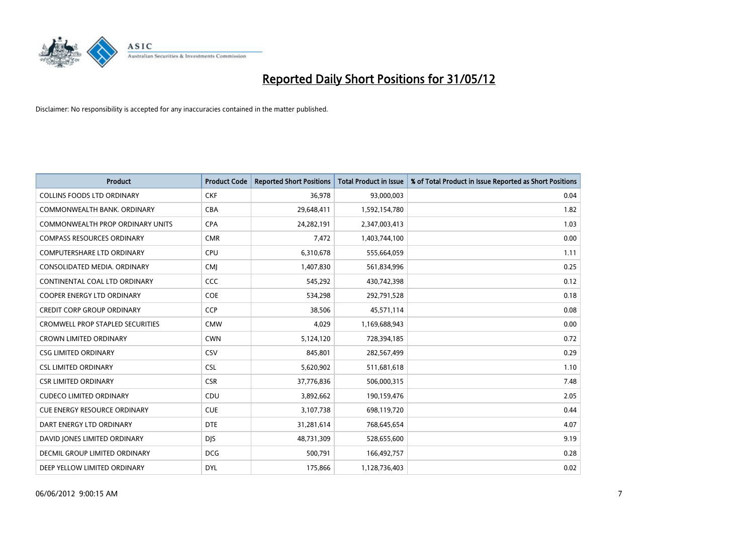

| <b>Product</b>                          | <b>Product Code</b> | <b>Reported Short Positions</b> | <b>Total Product in Issue</b> | % of Total Product in Issue Reported as Short Positions |
|-----------------------------------------|---------------------|---------------------------------|-------------------------------|---------------------------------------------------------|
| <b>COLLINS FOODS LTD ORDINARY</b>       | <b>CKF</b>          | 36,978                          | 93,000,003                    | 0.04                                                    |
| COMMONWEALTH BANK, ORDINARY             | <b>CBA</b>          | 29,648,411                      | 1,592,154,780                 | 1.82                                                    |
| <b>COMMONWEALTH PROP ORDINARY UNITS</b> | <b>CPA</b>          | 24,282,191                      | 2,347,003,413                 | 1.03                                                    |
| <b>COMPASS RESOURCES ORDINARY</b>       | <b>CMR</b>          | 7,472                           | 1,403,744,100                 | 0.00                                                    |
| <b>COMPUTERSHARE LTD ORDINARY</b>       | <b>CPU</b>          | 6,310,678                       | 555,664,059                   | 1.11                                                    |
| CONSOLIDATED MEDIA, ORDINARY            | <b>CMJ</b>          | 1,407,830                       | 561,834,996                   | 0.25                                                    |
| CONTINENTAL COAL LTD ORDINARY           | CCC                 | 545,292                         | 430,742,398                   | 0.12                                                    |
| COOPER ENERGY LTD ORDINARY              | <b>COE</b>          | 534,298                         | 292,791,528                   | 0.18                                                    |
| <b>CREDIT CORP GROUP ORDINARY</b>       | CCP                 | 38,506                          | 45,571,114                    | 0.08                                                    |
| <b>CROMWELL PROP STAPLED SECURITIES</b> | <b>CMW</b>          | 4,029                           | 1,169,688,943                 | 0.00                                                    |
| <b>CROWN LIMITED ORDINARY</b>           | <b>CWN</b>          | 5,124,120                       | 728,394,185                   | 0.72                                                    |
| <b>CSG LIMITED ORDINARY</b>             | CSV                 | 845,801                         | 282,567,499                   | 0.29                                                    |
| <b>CSL LIMITED ORDINARY</b>             | <b>CSL</b>          | 5,620,902                       | 511,681,618                   | 1.10                                                    |
| <b>CSR LIMITED ORDINARY</b>             | <b>CSR</b>          | 37,776,836                      | 506,000,315                   | 7.48                                                    |
| <b>CUDECO LIMITED ORDINARY</b>          | CDU                 | 3,892,662                       | 190,159,476                   | 2.05                                                    |
| <b>CUE ENERGY RESOURCE ORDINARY</b>     | <b>CUE</b>          | 3,107,738                       | 698,119,720                   | 0.44                                                    |
| DART ENERGY LTD ORDINARY                | <b>DTE</b>          | 31,281,614                      | 768,645,654                   | 4.07                                                    |
| DAVID JONES LIMITED ORDINARY            | <b>DJS</b>          | 48,731,309                      | 528,655,600                   | 9.19                                                    |
| DECMIL GROUP LIMITED ORDINARY           | <b>DCG</b>          | 500,791                         | 166,492,757                   | 0.28                                                    |
| DEEP YELLOW LIMITED ORDINARY            | <b>DYL</b>          | 175,866                         | 1,128,736,403                 | 0.02                                                    |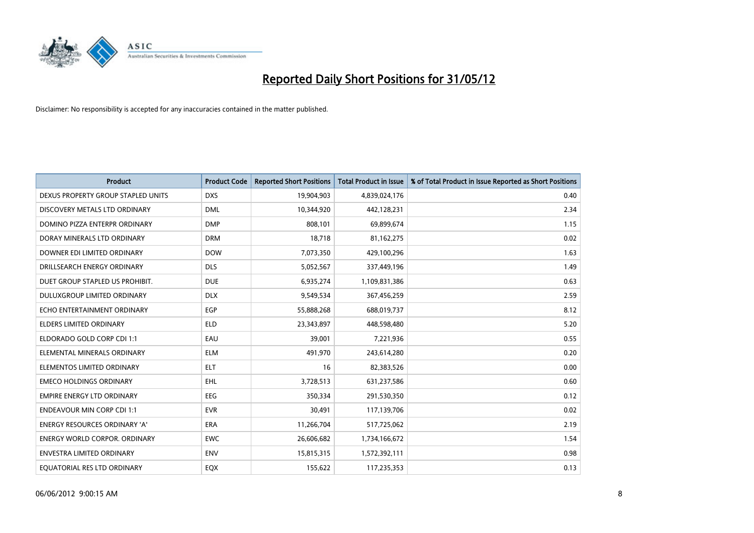

| <b>Product</b>                       | <b>Product Code</b> | <b>Reported Short Positions</b> | <b>Total Product in Issue</b> | % of Total Product in Issue Reported as Short Positions |
|--------------------------------------|---------------------|---------------------------------|-------------------------------|---------------------------------------------------------|
| DEXUS PROPERTY GROUP STAPLED UNITS   | <b>DXS</b>          | 19,904,903                      | 4,839,024,176                 | 0.40                                                    |
| DISCOVERY METALS LTD ORDINARY        | <b>DML</b>          | 10,344,920                      | 442,128,231                   | 2.34                                                    |
| DOMINO PIZZA ENTERPR ORDINARY        | <b>DMP</b>          | 808,101                         | 69,899,674                    | 1.15                                                    |
| DORAY MINERALS LTD ORDINARY          | <b>DRM</b>          | 18,718                          | 81,162,275                    | 0.02                                                    |
| DOWNER EDI LIMITED ORDINARY          | <b>DOW</b>          | 7,073,350                       | 429,100,296                   | 1.63                                                    |
| DRILLSEARCH ENERGY ORDINARY          | <b>DLS</b>          | 5,052,567                       | 337,449,196                   | 1.49                                                    |
| DUET GROUP STAPLED US PROHIBIT.      | <b>DUE</b>          | 6,935,274                       | 1,109,831,386                 | 0.63                                                    |
| DULUXGROUP LIMITED ORDINARY          | <b>DLX</b>          | 9,549,534                       | 367,456,259                   | 2.59                                                    |
| ECHO ENTERTAINMENT ORDINARY          | <b>EGP</b>          | 55,888,268                      | 688,019,737                   | 8.12                                                    |
| <b>ELDERS LIMITED ORDINARY</b>       | <b>ELD</b>          | 23,343,897                      | 448,598,480                   | 5.20                                                    |
| ELDORADO GOLD CORP CDI 1:1           | EAU                 | 39,001                          | 7,221,936                     | 0.55                                                    |
| ELEMENTAL MINERALS ORDINARY          | <b>ELM</b>          | 491,970                         | 243,614,280                   | 0.20                                                    |
| ELEMENTOS LIMITED ORDINARY           | <b>ELT</b>          | 16                              | 82,383,526                    | 0.00                                                    |
| <b>EMECO HOLDINGS ORDINARY</b>       | <b>EHL</b>          | 3,728,513                       | 631,237,586                   | 0.60                                                    |
| <b>EMPIRE ENERGY LTD ORDINARY</b>    | <b>EEG</b>          | 350,334                         | 291,530,350                   | 0.12                                                    |
| <b>ENDEAVOUR MIN CORP CDI 1:1</b>    | <b>EVR</b>          | 30,491                          | 117,139,706                   | 0.02                                                    |
| <b>ENERGY RESOURCES ORDINARY 'A'</b> | <b>ERA</b>          | 11,266,704                      | 517,725,062                   | 2.19                                                    |
| <b>ENERGY WORLD CORPOR. ORDINARY</b> | <b>EWC</b>          | 26,606,682                      | 1,734,166,672                 | 1.54                                                    |
| ENVESTRA LIMITED ORDINARY            | <b>ENV</b>          | 15,815,315                      | 1,572,392,111                 | 0.98                                                    |
| EQUATORIAL RES LTD ORDINARY          | EQX                 | 155,622                         | 117,235,353                   | 0.13                                                    |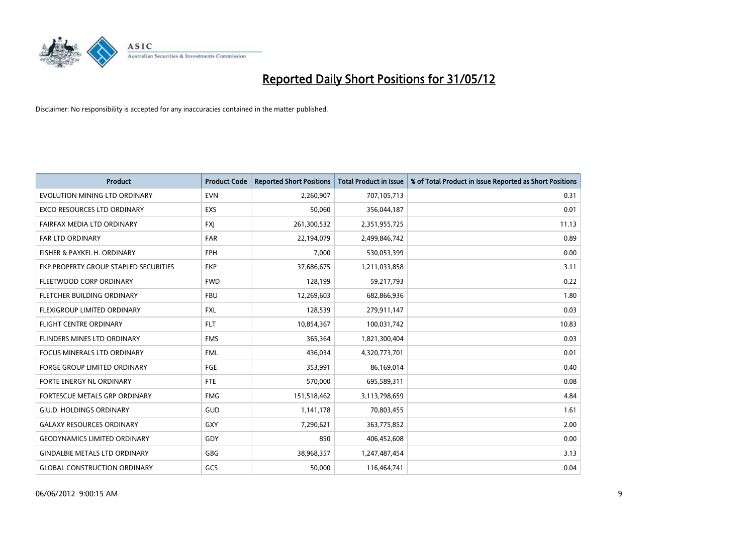

| <b>Product</b>                        | <b>Product Code</b> | <b>Reported Short Positions</b> | <b>Total Product in Issue</b> | % of Total Product in Issue Reported as Short Positions |
|---------------------------------------|---------------------|---------------------------------|-------------------------------|---------------------------------------------------------|
| EVOLUTION MINING LTD ORDINARY         | <b>EVN</b>          | 2,260,907                       | 707,105,713                   | 0.31                                                    |
| EXCO RESOURCES LTD ORDINARY           | <b>EXS</b>          | 50,060                          | 356,044,187                   | 0.01                                                    |
| FAIRFAX MEDIA LTD ORDINARY            | <b>FXI</b>          | 261,300,532                     | 2,351,955,725                 | 11.13                                                   |
| <b>FAR LTD ORDINARY</b>               | <b>FAR</b>          | 22,194,079                      | 2,499,846,742                 | 0.89                                                    |
| FISHER & PAYKEL H. ORDINARY           | <b>FPH</b>          | 7,000                           | 530,053,399                   | 0.00                                                    |
| FKP PROPERTY GROUP STAPLED SECURITIES | <b>FKP</b>          | 37,686,675                      | 1,211,033,858                 | 3.11                                                    |
| FLEETWOOD CORP ORDINARY               | <b>FWD</b>          | 128,199                         | 59,217,793                    | 0.22                                                    |
| FLETCHER BUILDING ORDINARY            | <b>FBU</b>          | 12,269,603                      | 682,866,936                   | 1.80                                                    |
| FLEXIGROUP LIMITED ORDINARY           | <b>FXL</b>          | 128,539                         | 279,911,147                   | 0.03                                                    |
| <b>FLIGHT CENTRE ORDINARY</b>         | <b>FLT</b>          | 10,854,367                      | 100,031,742                   | 10.83                                                   |
| FLINDERS MINES LTD ORDINARY           | <b>FMS</b>          | 365,364                         | 1,821,300,404                 | 0.03                                                    |
| FOCUS MINERALS LTD ORDINARY           | <b>FML</b>          | 436,034                         | 4,320,773,701                 | 0.01                                                    |
| <b>FORGE GROUP LIMITED ORDINARY</b>   | FGE                 | 353,991                         | 86,169,014                    | 0.40                                                    |
| FORTE ENERGY NL ORDINARY              | FTE                 | 570,000                         | 695,589,311                   | 0.08                                                    |
| FORTESCUE METALS GRP ORDINARY         | <b>FMG</b>          | 151,518,462                     | 3,113,798,659                 | 4.84                                                    |
| <b>G.U.D. HOLDINGS ORDINARY</b>       | GUD                 | 1,141,178                       | 70,803,455                    | 1.61                                                    |
| <b>GALAXY RESOURCES ORDINARY</b>      | GXY                 | 7,290,621                       | 363,775,852                   | 2.00                                                    |
| <b>GEODYNAMICS LIMITED ORDINARY</b>   | GDY                 | 850                             | 406,452,608                   | 0.00                                                    |
| <b>GINDALBIE METALS LTD ORDINARY</b>  | GBG                 | 38,968,357                      | 1,247,487,454                 | 3.13                                                    |
| <b>GLOBAL CONSTRUCTION ORDINARY</b>   | GCS                 | 50,000                          | 116,464,741                   | 0.04                                                    |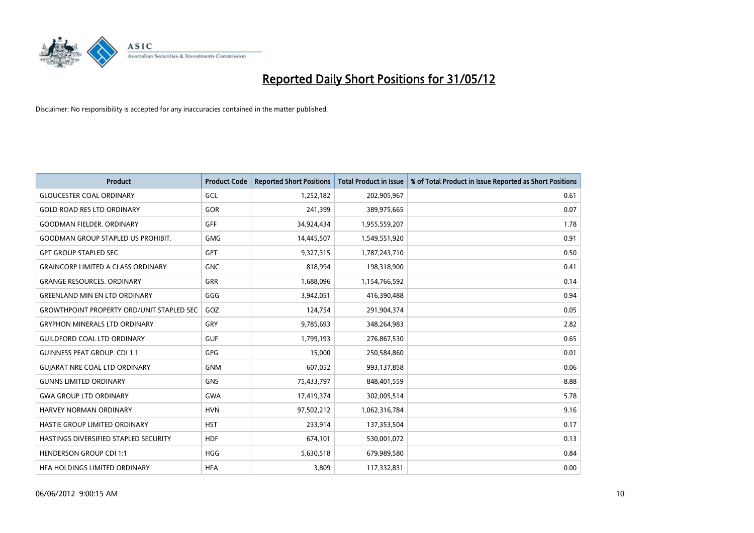

| <b>Product</b>                                   | <b>Product Code</b> | <b>Reported Short Positions</b> | <b>Total Product in Issue</b> | % of Total Product in Issue Reported as Short Positions |
|--------------------------------------------------|---------------------|---------------------------------|-------------------------------|---------------------------------------------------------|
| <b>GLOUCESTER COAL ORDINARY</b>                  | GCL                 | 1,252,182                       | 202,905,967                   | 0.61                                                    |
| <b>GOLD ROAD RES LTD ORDINARY</b>                | GOR                 | 241,399                         | 389,975,665                   | 0.07                                                    |
| <b>GOODMAN FIELDER, ORDINARY</b>                 | <b>GFF</b>          | 34,924,434                      | 1,955,559,207                 | 1.78                                                    |
| GOODMAN GROUP STAPLED US PROHIBIT.               | <b>GMG</b>          | 14,445,507                      | 1,549,551,920                 | 0.91                                                    |
| <b>GPT GROUP STAPLED SEC.</b>                    | <b>GPT</b>          | 9,327,315                       | 1,787,243,710                 | 0.50                                                    |
| <b>GRAINCORP LIMITED A CLASS ORDINARY</b>        | <b>GNC</b>          | 818,994                         | 198,318,900                   | 0.41                                                    |
| <b>GRANGE RESOURCES. ORDINARY</b>                | GRR                 | 1,688,096                       | 1,154,766,592                 | 0.14                                                    |
| <b>GREENLAND MIN EN LTD ORDINARY</b>             | GGG                 | 3,942,051                       | 416,390,488                   | 0.94                                                    |
| <b>GROWTHPOINT PROPERTY ORD/UNIT STAPLED SEC</b> | GOZ                 | 124,754                         | 291,904,374                   | 0.05                                                    |
| <b>GRYPHON MINERALS LTD ORDINARY</b>             | GRY                 | 9,785,693                       | 348,264,983                   | 2.82                                                    |
| <b>GUILDFORD COAL LTD ORDINARY</b>               | <b>GUF</b>          | 1,799,193                       | 276,867,530                   | 0.65                                                    |
| <b>GUINNESS PEAT GROUP. CDI 1:1</b>              | <b>GPG</b>          | 15,000                          | 250,584,860                   | 0.01                                                    |
| <b>GUIARAT NRE COAL LTD ORDINARY</b>             | <b>GNM</b>          | 607,052                         | 993,137,858                   | 0.06                                                    |
| <b>GUNNS LIMITED ORDINARY</b>                    | <b>GNS</b>          | 75,433,797                      | 848,401,559                   | 8.88                                                    |
| <b>GWA GROUP LTD ORDINARY</b>                    | <b>GWA</b>          | 17,419,374                      | 302,005,514                   | 5.78                                                    |
| HARVEY NORMAN ORDINARY                           | <b>HVN</b>          | 97,502,212                      | 1,062,316,784                 | 9.16                                                    |
| HASTIE GROUP LIMITED ORDINARY                    | <b>HST</b>          | 233,914                         | 137,353,504                   | 0.17                                                    |
| HASTINGS DIVERSIFIED STAPLED SECURITY            | <b>HDF</b>          | 674,101                         | 530,001,072                   | 0.13                                                    |
| <b>HENDERSON GROUP CDI 1:1</b>                   | <b>HGG</b>          | 5,630,518                       | 679,989,580                   | 0.84                                                    |
| HFA HOLDINGS LIMITED ORDINARY                    | <b>HFA</b>          | 3,809                           | 117,332,831                   | 0.00                                                    |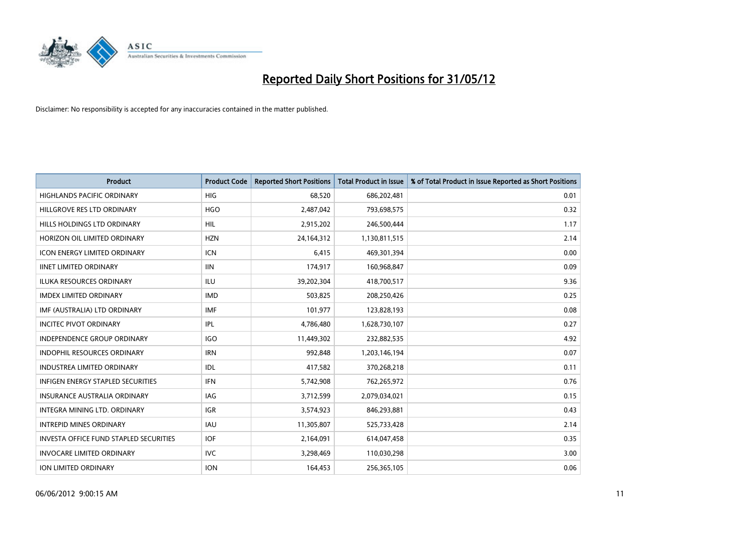

| <b>Product</b>                                | <b>Product Code</b> | <b>Reported Short Positions</b> | <b>Total Product in Issue</b> | % of Total Product in Issue Reported as Short Positions |
|-----------------------------------------------|---------------------|---------------------------------|-------------------------------|---------------------------------------------------------|
| <b>HIGHLANDS PACIFIC ORDINARY</b>             | <b>HIG</b>          | 68,520                          | 686,202,481                   | 0.01                                                    |
| HILLGROVE RES LTD ORDINARY                    | <b>HGO</b>          | 2,487,042                       | 793,698,575                   | 0.32                                                    |
| <b>HILLS HOLDINGS LTD ORDINARY</b>            | <b>HIL</b>          | 2,915,202                       | 246,500,444                   | 1.17                                                    |
| HORIZON OIL LIMITED ORDINARY                  | <b>HZN</b>          | 24,164,312                      | 1,130,811,515                 | 2.14                                                    |
| <b>ICON ENERGY LIMITED ORDINARY</b>           | <b>ICN</b>          | 6,415                           | 469,301,394                   | 0.00                                                    |
| <b>IINET LIMITED ORDINARY</b>                 | <b>IIN</b>          | 174,917                         | 160,968,847                   | 0.09                                                    |
| <b>ILUKA RESOURCES ORDINARY</b>               | ILU                 | 39,202,304                      | 418,700,517                   | 9.36                                                    |
| <b>IMDEX LIMITED ORDINARY</b>                 | <b>IMD</b>          | 503,825                         | 208,250,426                   | 0.25                                                    |
| IMF (AUSTRALIA) LTD ORDINARY                  | <b>IMF</b>          | 101,977                         | 123,828,193                   | 0.08                                                    |
| <b>INCITEC PIVOT ORDINARY</b>                 | IPL                 | 4,786,480                       | 1,628,730,107                 | 0.27                                                    |
| INDEPENDENCE GROUP ORDINARY                   | <b>IGO</b>          | 11,449,302                      | 232,882,535                   | 4.92                                                    |
| <b>INDOPHIL RESOURCES ORDINARY</b>            | <b>IRN</b>          | 992,848                         | 1,203,146,194                 | 0.07                                                    |
| <b>INDUSTREA LIMITED ORDINARY</b>             | <b>IDL</b>          | 417,582                         | 370,268,218                   | 0.11                                                    |
| INFIGEN ENERGY STAPLED SECURITIES             | <b>IFN</b>          | 5,742,908                       | 762,265,972                   | 0.76                                                    |
| <b>INSURANCE AUSTRALIA ORDINARY</b>           | <b>IAG</b>          | 3,712,599                       | 2,079,034,021                 | 0.15                                                    |
| INTEGRA MINING LTD. ORDINARY                  | IGR                 | 3,574,923                       | 846,293,881                   | 0.43                                                    |
| <b>INTREPID MINES ORDINARY</b>                | <b>IAU</b>          | 11,305,807                      | 525,733,428                   | 2.14                                                    |
| <b>INVESTA OFFICE FUND STAPLED SECURITIES</b> | <b>IOF</b>          | 2,164,091                       | 614,047,458                   | 0.35                                                    |
| <b>INVOCARE LIMITED ORDINARY</b>              | <b>IVC</b>          | 3,298,469                       | 110,030,298                   | 3.00                                                    |
| ION LIMITED ORDINARY                          | <b>ION</b>          | 164,453                         | 256,365,105                   | 0.06                                                    |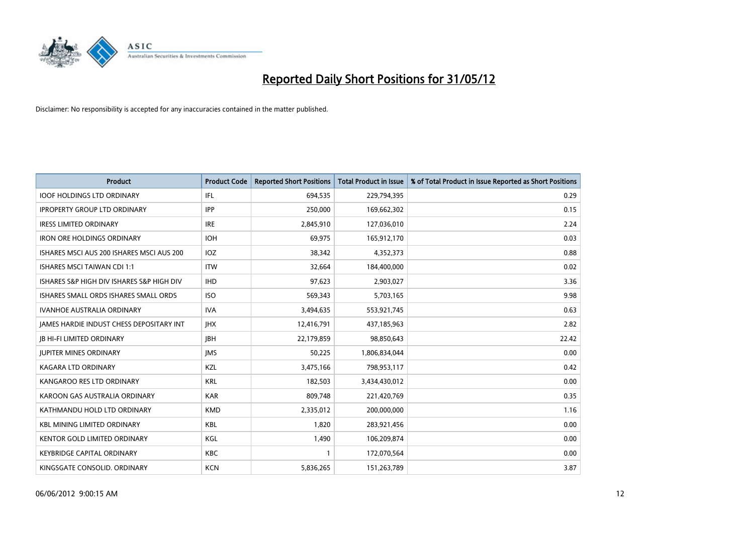

| <b>Product</b>                            | <b>Product Code</b> | <b>Reported Short Positions</b> | <b>Total Product in Issue</b> | % of Total Product in Issue Reported as Short Positions |
|-------------------------------------------|---------------------|---------------------------------|-------------------------------|---------------------------------------------------------|
| <b>IOOF HOLDINGS LTD ORDINARY</b>         | IFL                 | 694,535                         | 229,794,395                   | 0.29                                                    |
| <b>IPROPERTY GROUP LTD ORDINARY</b>       | <b>IPP</b>          | 250,000                         | 169,662,302                   | 0.15                                                    |
| <b>IRESS LIMITED ORDINARY</b>             | <b>IRE</b>          | 2,845,910                       | 127,036,010                   | 2.24                                                    |
| <b>IRON ORE HOLDINGS ORDINARY</b>         | <b>IOH</b>          | 69,975                          | 165,912,170                   | 0.03                                                    |
| ISHARES MSCI AUS 200 ISHARES MSCI AUS 200 | IOZ                 | 38,342                          | 4,352,373                     | 0.88                                                    |
| <b>ISHARES MSCI TAIWAN CDI 1:1</b>        | <b>ITW</b>          | 32,664                          | 184,400,000                   | 0.02                                                    |
| ISHARES S&P HIGH DIV ISHARES S&P HIGH DIV | <b>IHD</b>          | 97,623                          | 2,903,027                     | 3.36                                                    |
| ISHARES SMALL ORDS ISHARES SMALL ORDS     | <b>ISO</b>          | 569,343                         | 5,703,165                     | 9.98                                                    |
| <b>IVANHOE AUSTRALIA ORDINARY</b>         | <b>IVA</b>          | 3,494,635                       | 553,921,745                   | 0.63                                                    |
| JAMES HARDIE INDUST CHESS DEPOSITARY INT  | <b>IHX</b>          | 12,416,791                      | 437,185,963                   | 2.82                                                    |
| <b>JB HI-FI LIMITED ORDINARY</b>          | <b>JBH</b>          | 22,179,859                      | 98,850,643                    | 22.42                                                   |
| <b>JUPITER MINES ORDINARY</b>             | <b>IMS</b>          | 50,225                          | 1,806,834,044                 | 0.00                                                    |
| <b>KAGARA LTD ORDINARY</b>                | KZL                 | 3,475,166                       | 798,953,117                   | 0.42                                                    |
| KANGAROO RES LTD ORDINARY                 | <b>KRL</b>          | 182,503                         | 3,434,430,012                 | 0.00                                                    |
| KAROON GAS AUSTRALIA ORDINARY             | <b>KAR</b>          | 809,748                         | 221,420,769                   | 0.35                                                    |
| KATHMANDU HOLD LTD ORDINARY               | <b>KMD</b>          | 2,335,012                       | 200,000,000                   | 1.16                                                    |
| <b>KBL MINING LIMITED ORDINARY</b>        | <b>KBL</b>          | 1,820                           | 283,921,456                   | 0.00                                                    |
| <b>KENTOR GOLD LIMITED ORDINARY</b>       | KGL                 | 1,490                           | 106,209,874                   | 0.00                                                    |
| <b>KEYBRIDGE CAPITAL ORDINARY</b>         | <b>KBC</b>          | 1                               | 172,070,564                   | 0.00                                                    |
| KINGSGATE CONSOLID. ORDINARY              | <b>KCN</b>          | 5,836,265                       | 151,263,789                   | 3.87                                                    |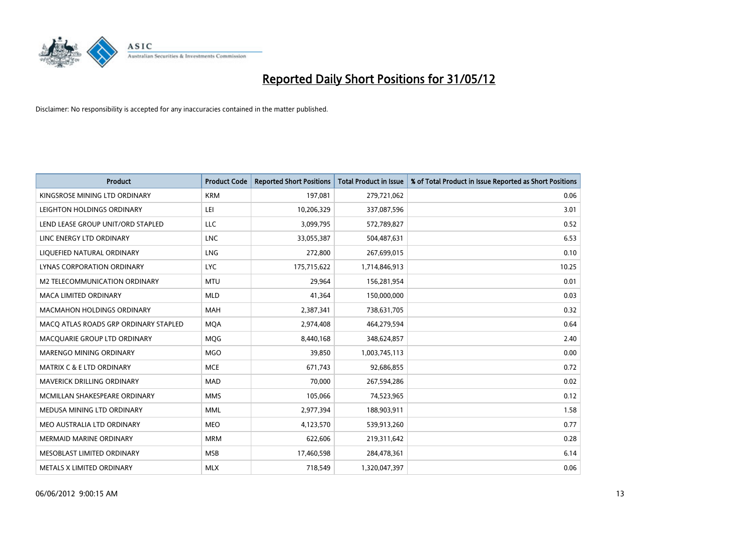

| <b>Product</b>                        | <b>Product Code</b> | <b>Reported Short Positions</b> | <b>Total Product in Issue</b> | % of Total Product in Issue Reported as Short Positions |
|---------------------------------------|---------------------|---------------------------------|-------------------------------|---------------------------------------------------------|
| KINGSROSE MINING LTD ORDINARY         | <b>KRM</b>          | 197,081                         | 279,721,062                   | 0.06                                                    |
| LEIGHTON HOLDINGS ORDINARY            | LEI                 | 10,206,329                      | 337,087,596                   | 3.01                                                    |
| LEND LEASE GROUP UNIT/ORD STAPLED     | LLC                 | 3,099,795                       | 572,789,827                   | 0.52                                                    |
| LINC ENERGY LTD ORDINARY              | <b>LNC</b>          | 33,055,387                      | 504,487,631                   | 6.53                                                    |
| LIOUEFIED NATURAL ORDINARY            | LNG                 | 272,800                         | 267,699,015                   | 0.10                                                    |
| <b>LYNAS CORPORATION ORDINARY</b>     | <b>LYC</b>          | 175,715,622                     | 1,714,846,913                 | 10.25                                                   |
| M2 TELECOMMUNICATION ORDINARY         | <b>MTU</b>          | 29,964                          | 156,281,954                   | 0.01                                                    |
| <b>MACA LIMITED ORDINARY</b>          | <b>MLD</b>          | 41,364                          | 150,000,000                   | 0.03                                                    |
| <b>MACMAHON HOLDINGS ORDINARY</b>     | <b>MAH</b>          | 2,387,341                       | 738,631,705                   | 0.32                                                    |
| MACO ATLAS ROADS GRP ORDINARY STAPLED | <b>MQA</b>          | 2,974,408                       | 464,279,594                   | 0.64                                                    |
| MACQUARIE GROUP LTD ORDINARY          | MQG                 | 8,440,168                       | 348,624,857                   | 2.40                                                    |
| MARENGO MINING ORDINARY               | <b>MGO</b>          | 39,850                          | 1,003,745,113                 | 0.00                                                    |
| <b>MATRIX C &amp; E LTD ORDINARY</b>  | <b>MCE</b>          | 671,743                         | 92,686,855                    | 0.72                                                    |
| <b>MAVERICK DRILLING ORDINARY</b>     | <b>MAD</b>          | 70,000                          | 267,594,286                   | 0.02                                                    |
| MCMILLAN SHAKESPEARE ORDINARY         | <b>MMS</b>          | 105,066                         | 74,523,965                    | 0.12                                                    |
| MEDUSA MINING LTD ORDINARY            | MML                 | 2,977,394                       | 188,903,911                   | 1.58                                                    |
| MEO AUSTRALIA LTD ORDINARY            | <b>MEO</b>          | 4,123,570                       | 539,913,260                   | 0.77                                                    |
| <b>MERMAID MARINE ORDINARY</b>        | <b>MRM</b>          | 622,606                         | 219,311,642                   | 0.28                                                    |
| MESOBLAST LIMITED ORDINARY            | <b>MSB</b>          | 17,460,598                      | 284,478,361                   | 6.14                                                    |
| METALS X LIMITED ORDINARY             | <b>MLX</b>          | 718,549                         | 1,320,047,397                 | 0.06                                                    |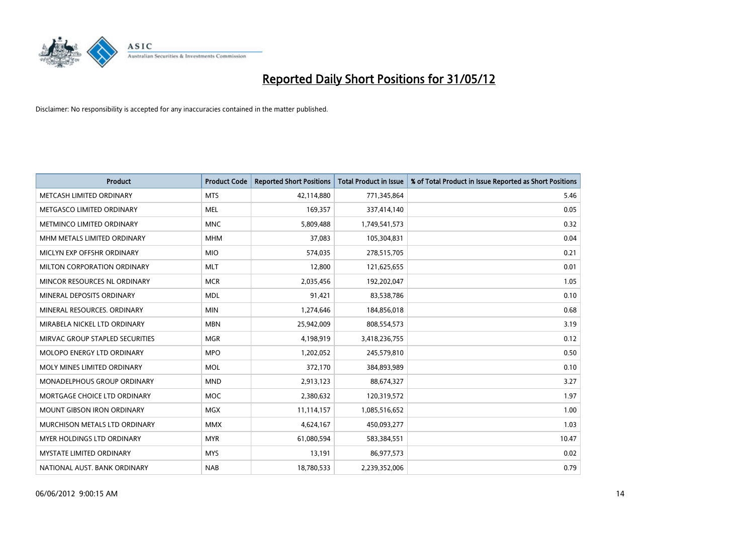

| <b>Product</b>                    | <b>Product Code</b> | <b>Reported Short Positions</b> | <b>Total Product in Issue</b> | % of Total Product in Issue Reported as Short Positions |
|-----------------------------------|---------------------|---------------------------------|-------------------------------|---------------------------------------------------------|
| METCASH LIMITED ORDINARY          | <b>MTS</b>          | 42,114,880                      | 771,345,864                   | 5.46                                                    |
| METGASCO LIMITED ORDINARY         | MEL                 | 169,357                         | 337,414,140                   | 0.05                                                    |
| METMINCO LIMITED ORDINARY         | <b>MNC</b>          | 5,809,488                       | 1,749,541,573                 | 0.32                                                    |
| MHM METALS LIMITED ORDINARY       | <b>MHM</b>          | 37,083                          | 105,304,831                   | 0.04                                                    |
| MICLYN EXP OFFSHR ORDINARY        | <b>MIO</b>          | 574,035                         | 278,515,705                   | 0.21                                                    |
| MILTON CORPORATION ORDINARY       | <b>MLT</b>          | 12,800                          | 121,625,655                   | 0.01                                                    |
| MINCOR RESOURCES NL ORDINARY      | <b>MCR</b>          | 2,035,456                       | 192,202,047                   | 1.05                                                    |
| MINERAL DEPOSITS ORDINARY         | <b>MDL</b>          | 91,421                          | 83,538,786                    | 0.10                                                    |
| MINERAL RESOURCES, ORDINARY       | <b>MIN</b>          | 1,274,646                       | 184,856,018                   | 0.68                                                    |
| MIRABELA NICKEL LTD ORDINARY      | <b>MBN</b>          | 25,942,009                      | 808,554,573                   | 3.19                                                    |
| MIRVAC GROUP STAPLED SECURITIES   | <b>MGR</b>          | 4,198,919                       | 3,418,236,755                 | 0.12                                                    |
| <b>MOLOPO ENERGY LTD ORDINARY</b> | <b>MPO</b>          | 1,202,052                       | 245,579,810                   | 0.50                                                    |
| MOLY MINES LIMITED ORDINARY       | <b>MOL</b>          | 372,170                         | 384,893,989                   | 0.10                                                    |
| MONADELPHOUS GROUP ORDINARY       | <b>MND</b>          | 2,913,123                       | 88,674,327                    | 3.27                                                    |
| MORTGAGE CHOICE LTD ORDINARY      | <b>MOC</b>          | 2,380,632                       | 120,319,572                   | 1.97                                                    |
| <b>MOUNT GIBSON IRON ORDINARY</b> | <b>MGX</b>          | 11,114,157                      | 1,085,516,652                 | 1.00                                                    |
| MURCHISON METALS LTD ORDINARY     | <b>MMX</b>          | 4,624,167                       | 450,093,277                   | 1.03                                                    |
| MYER HOLDINGS LTD ORDINARY        | <b>MYR</b>          | 61,080,594                      | 583,384,551                   | 10.47                                                   |
| <b>MYSTATE LIMITED ORDINARY</b>   | <b>MYS</b>          | 13,191                          | 86,977,573                    | 0.02                                                    |
| NATIONAL AUST. BANK ORDINARY      | <b>NAB</b>          | 18,780,533                      | 2,239,352,006                 | 0.79                                                    |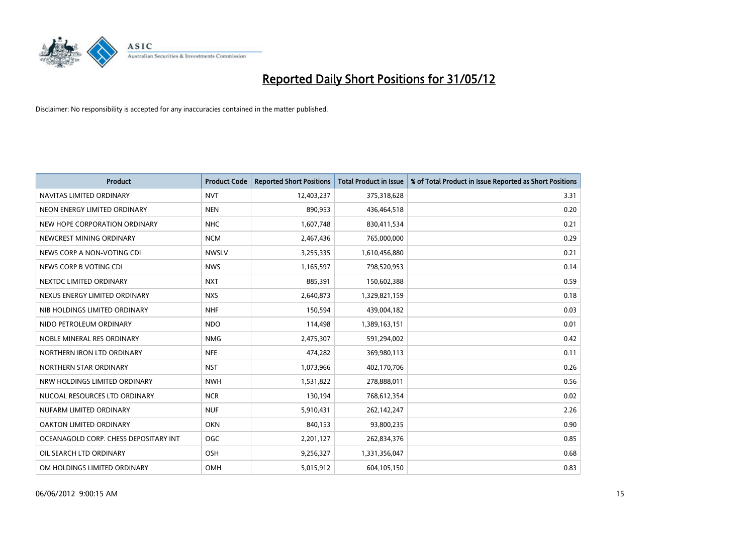

| <b>Product</b>                        | <b>Product Code</b> | <b>Reported Short Positions</b> | <b>Total Product in Issue</b> | % of Total Product in Issue Reported as Short Positions |
|---------------------------------------|---------------------|---------------------------------|-------------------------------|---------------------------------------------------------|
| NAVITAS LIMITED ORDINARY              | <b>NVT</b>          | 12,403,237                      | 375,318,628                   | 3.31                                                    |
| NEON ENERGY LIMITED ORDINARY          | <b>NEN</b>          | 890,953                         | 436,464,518                   | 0.20                                                    |
| NEW HOPE CORPORATION ORDINARY         | <b>NHC</b>          | 1,607,748                       | 830,411,534                   | 0.21                                                    |
| NEWCREST MINING ORDINARY              | <b>NCM</b>          | 2,467,436                       | 765,000,000                   | 0.29                                                    |
| NEWS CORP A NON-VOTING CDI            | <b>NWSLV</b>        | 3,255,335                       | 1,610,456,880                 | 0.21                                                    |
| NEWS CORP B VOTING CDI                | <b>NWS</b>          | 1,165,597                       | 798,520,953                   | 0.14                                                    |
| NEXTDC LIMITED ORDINARY               | <b>NXT</b>          | 885,391                         | 150,602,388                   | 0.59                                                    |
| NEXUS ENERGY LIMITED ORDINARY         | <b>NXS</b>          | 2,640,873                       | 1,329,821,159                 | 0.18                                                    |
| NIB HOLDINGS LIMITED ORDINARY         | <b>NHF</b>          | 150,594                         | 439,004,182                   | 0.03                                                    |
| NIDO PETROLEUM ORDINARY               | <b>NDO</b>          | 114,498                         | 1,389,163,151                 | 0.01                                                    |
| NOBLE MINERAL RES ORDINARY            | <b>NMG</b>          | 2,475,307                       | 591,294,002                   | 0.42                                                    |
| NORTHERN IRON LTD ORDINARY            | <b>NFE</b>          | 474,282                         | 369,980,113                   | 0.11                                                    |
| NORTHERN STAR ORDINARY                | <b>NST</b>          | 1,073,966                       | 402,170,706                   | 0.26                                                    |
| NRW HOLDINGS LIMITED ORDINARY         | <b>NWH</b>          | 1,531,822                       | 278,888,011                   | 0.56                                                    |
| NUCOAL RESOURCES LTD ORDINARY         | <b>NCR</b>          | 130,194                         | 768,612,354                   | 0.02                                                    |
| NUFARM LIMITED ORDINARY               | <b>NUF</b>          | 5,910,431                       | 262,142,247                   | 2.26                                                    |
| OAKTON LIMITED ORDINARY               | <b>OKN</b>          | 840,153                         | 93,800,235                    | 0.90                                                    |
| OCEANAGOLD CORP. CHESS DEPOSITARY INT | <b>OGC</b>          | 2,201,127                       | 262,834,376                   | 0.85                                                    |
| OIL SEARCH LTD ORDINARY               | OSH                 | 9,256,327                       | 1,331,356,047                 | 0.68                                                    |
| OM HOLDINGS LIMITED ORDINARY          | OMH                 | 5,015,912                       | 604,105,150                   | 0.83                                                    |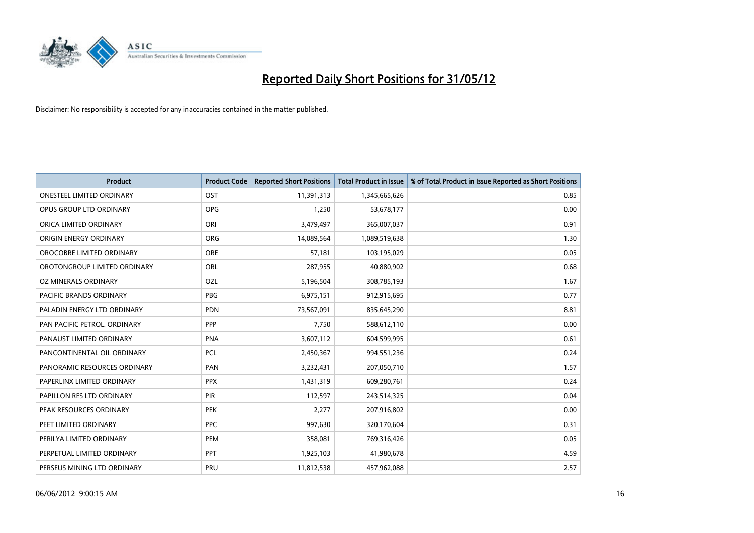

| <b>Product</b>                   | <b>Product Code</b> | <b>Reported Short Positions</b> | <b>Total Product in Issue</b> | % of Total Product in Issue Reported as Short Positions |
|----------------------------------|---------------------|---------------------------------|-------------------------------|---------------------------------------------------------|
| <b>ONESTEEL LIMITED ORDINARY</b> | OST                 | 11,391,313                      | 1,345,665,626                 | 0.85                                                    |
| OPUS GROUP LTD ORDINARY          | <b>OPG</b>          | 1,250                           | 53,678,177                    | 0.00                                                    |
| ORICA LIMITED ORDINARY           | ORI                 | 3,479,497                       | 365,007,037                   | 0.91                                                    |
| ORIGIN ENERGY ORDINARY           | <b>ORG</b>          | 14,089,564                      | 1,089,519,638                 | 1.30                                                    |
| OROCOBRE LIMITED ORDINARY        | <b>ORE</b>          | 57,181                          | 103,195,029                   | 0.05                                                    |
| OROTONGROUP LIMITED ORDINARY     | ORL                 | 287,955                         | 40,880,902                    | 0.68                                                    |
| OZ MINERALS ORDINARY             | OZL                 | 5,196,504                       | 308,785,193                   | 1.67                                                    |
| PACIFIC BRANDS ORDINARY          | <b>PBG</b>          | 6,975,151                       | 912,915,695                   | 0.77                                                    |
| PALADIN ENERGY LTD ORDINARY      | <b>PDN</b>          | 73,567,091                      | 835,645,290                   | 8.81                                                    |
| PAN PACIFIC PETROL. ORDINARY     | PPP                 | 7,750                           | 588,612,110                   | 0.00                                                    |
| PANAUST LIMITED ORDINARY         | <b>PNA</b>          | 3,607,112                       | 604,599,995                   | 0.61                                                    |
| PANCONTINENTAL OIL ORDINARY      | <b>PCL</b>          | 2,450,367                       | 994,551,236                   | 0.24                                                    |
| PANORAMIC RESOURCES ORDINARY     | PAN                 | 3,232,431                       | 207,050,710                   | 1.57                                                    |
| PAPERLINX LIMITED ORDINARY       | <b>PPX</b>          | 1,431,319                       | 609,280,761                   | 0.24                                                    |
| PAPILLON RES LTD ORDINARY        | PIR                 | 112,597                         | 243,514,325                   | 0.04                                                    |
| PEAK RESOURCES ORDINARY          | <b>PEK</b>          | 2,277                           | 207,916,802                   | 0.00                                                    |
| PEET LIMITED ORDINARY            | <b>PPC</b>          | 997,630                         | 320,170,604                   | 0.31                                                    |
| PERILYA LIMITED ORDINARY         | <b>PEM</b>          | 358,081                         | 769,316,426                   | 0.05                                                    |
| PERPETUAL LIMITED ORDINARY       | PPT                 | 1,925,103                       | 41,980,678                    | 4.59                                                    |
| PERSEUS MINING LTD ORDINARY      | PRU                 | 11,812,538                      | 457,962,088                   | 2.57                                                    |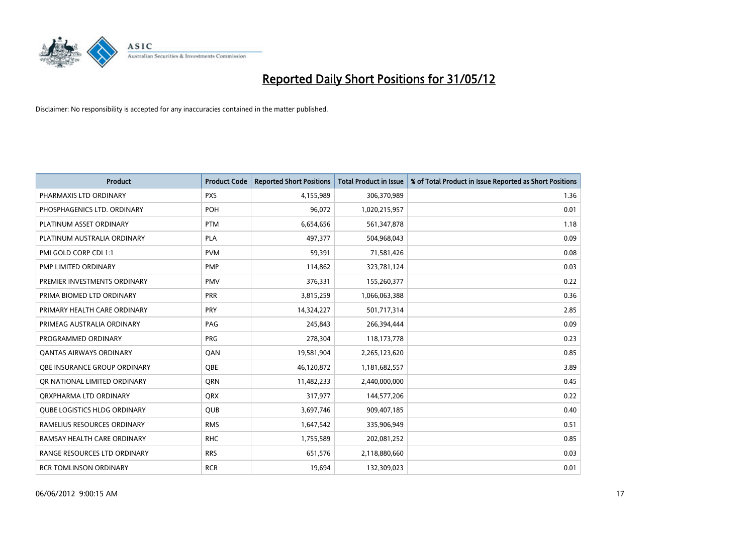

| <b>Product</b>                      | <b>Product Code</b> | <b>Reported Short Positions</b> | <b>Total Product in Issue</b> | % of Total Product in Issue Reported as Short Positions |
|-------------------------------------|---------------------|---------------------------------|-------------------------------|---------------------------------------------------------|
| PHARMAXIS LTD ORDINARY              | <b>PXS</b>          | 4,155,989                       | 306,370,989                   | 1.36                                                    |
| PHOSPHAGENICS LTD. ORDINARY         | POH                 | 96,072                          | 1,020,215,957                 | 0.01                                                    |
| PLATINUM ASSET ORDINARY             | <b>PTM</b>          | 6,654,656                       | 561,347,878                   | 1.18                                                    |
| PLATINUM AUSTRALIA ORDINARY         | <b>PLA</b>          | 497,377                         | 504,968,043                   | 0.09                                                    |
| PMI GOLD CORP CDI 1:1               | <b>PVM</b>          | 59,391                          | 71,581,426                    | 0.08                                                    |
| PMP LIMITED ORDINARY                | PMP                 | 114,862                         | 323,781,124                   | 0.03                                                    |
| PREMIER INVESTMENTS ORDINARY        | <b>PMV</b>          | 376,331                         | 155,260,377                   | 0.22                                                    |
| PRIMA BIOMED LTD ORDINARY           | <b>PRR</b>          | 3,815,259                       | 1,066,063,388                 | 0.36                                                    |
| PRIMARY HEALTH CARE ORDINARY        | <b>PRY</b>          | 14,324,227                      | 501,717,314                   | 2.85                                                    |
| PRIMEAG AUSTRALIA ORDINARY          | PAG                 | 245,843                         | 266,394,444                   | 0.09                                                    |
| PROGRAMMED ORDINARY                 | <b>PRG</b>          | 278,304                         | 118,173,778                   | 0.23                                                    |
| <b>QANTAS AIRWAYS ORDINARY</b>      | QAN                 | 19,581,904                      | 2,265,123,620                 | 0.85                                                    |
| OBE INSURANCE GROUP ORDINARY        | <b>OBE</b>          | 46,120,872                      | 1,181,682,557                 | 3.89                                                    |
| OR NATIONAL LIMITED ORDINARY        | <b>ORN</b>          | 11,482,233                      | 2,440,000,000                 | 0.45                                                    |
| ORXPHARMA LTD ORDINARY              | <b>QRX</b>          | 317,977                         | 144,577,206                   | 0.22                                                    |
| <b>QUBE LOGISTICS HLDG ORDINARY</b> | QUB                 | 3,697,746                       | 909,407,185                   | 0.40                                                    |
| RAMELIUS RESOURCES ORDINARY         | <b>RMS</b>          | 1,647,542                       | 335,906,949                   | 0.51                                                    |
| RAMSAY HEALTH CARE ORDINARY         | <b>RHC</b>          | 1,755,589                       | 202,081,252                   | 0.85                                                    |
| RANGE RESOURCES LTD ORDINARY        | <b>RRS</b>          | 651,576                         | 2,118,880,660                 | 0.03                                                    |
| <b>RCR TOMLINSON ORDINARY</b>       | <b>RCR</b>          | 19,694                          | 132,309,023                   | 0.01                                                    |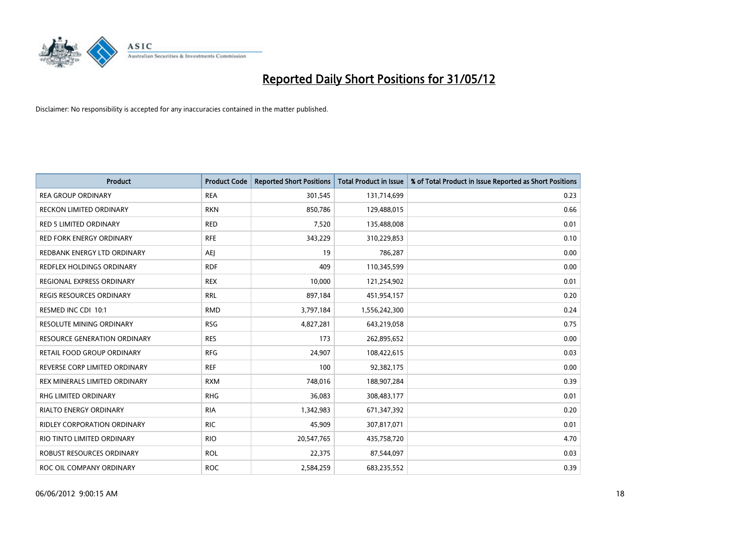

| <b>Product</b>                  | <b>Product Code</b> | <b>Reported Short Positions</b> | <b>Total Product in Issue</b> | % of Total Product in Issue Reported as Short Positions |
|---------------------------------|---------------------|---------------------------------|-------------------------------|---------------------------------------------------------|
| <b>REA GROUP ORDINARY</b>       | <b>REA</b>          | 301,545                         | 131,714,699                   | 0.23                                                    |
| <b>RECKON LIMITED ORDINARY</b>  | <b>RKN</b>          | 850,786                         | 129,488,015                   | 0.66                                                    |
| RED 5 LIMITED ORDINARY          | <b>RED</b>          | 7,520                           | 135,488,008                   | 0.01                                                    |
| <b>RED FORK ENERGY ORDINARY</b> | <b>RFE</b>          | 343,229                         | 310,229,853                   | 0.10                                                    |
| REDBANK ENERGY LTD ORDINARY     | AEJ                 | 19                              | 786,287                       | 0.00                                                    |
| REDFLEX HOLDINGS ORDINARY       | <b>RDF</b>          | 409                             | 110,345,599                   | 0.00                                                    |
| REGIONAL EXPRESS ORDINARY       | <b>REX</b>          | 10,000                          | 121,254,902                   | 0.01                                                    |
| REGIS RESOURCES ORDINARY        | <b>RRL</b>          | 897,184                         | 451,954,157                   | 0.20                                                    |
| RESMED INC CDI 10:1             | <b>RMD</b>          | 3,797,184                       | 1,556,242,300                 | 0.24                                                    |
| <b>RESOLUTE MINING ORDINARY</b> | <b>RSG</b>          | 4,827,281                       | 643,219,058                   | 0.75                                                    |
| RESOURCE GENERATION ORDINARY    | <b>RES</b>          | 173                             | 262,895,652                   | 0.00                                                    |
| RETAIL FOOD GROUP ORDINARY      | <b>RFG</b>          | 24,907                          | 108,422,615                   | 0.03                                                    |
| REVERSE CORP LIMITED ORDINARY   | <b>REF</b>          | 100                             | 92,382,175                    | 0.00                                                    |
| REX MINERALS LIMITED ORDINARY   | <b>RXM</b>          | 748,016                         | 188,907,284                   | 0.39                                                    |
| RHG LIMITED ORDINARY            | <b>RHG</b>          | 36,083                          | 308,483,177                   | 0.01                                                    |
| <b>RIALTO ENERGY ORDINARY</b>   | <b>RIA</b>          | 1,342,983                       | 671,347,392                   | 0.20                                                    |
| RIDLEY CORPORATION ORDINARY     | <b>RIC</b>          | 45,909                          | 307,817,071                   | 0.01                                                    |
| RIO TINTO LIMITED ORDINARY      | <b>RIO</b>          | 20,547,765                      | 435,758,720                   | 4.70                                                    |
| ROBUST RESOURCES ORDINARY       | <b>ROL</b>          | 22,375                          | 87,544,097                    | 0.03                                                    |
| ROC OIL COMPANY ORDINARY        | <b>ROC</b>          | 2,584,259                       | 683,235,552                   | 0.39                                                    |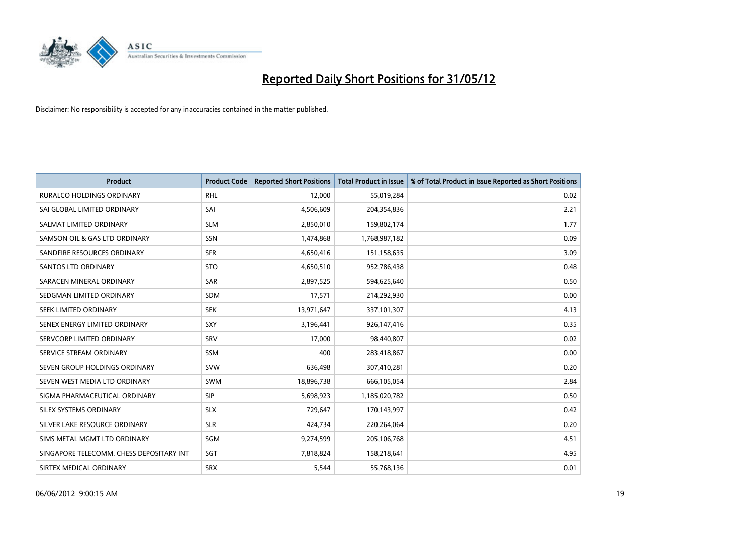

| <b>Product</b>                           | <b>Product Code</b> | <b>Reported Short Positions</b> | <b>Total Product in Issue</b> | % of Total Product in Issue Reported as Short Positions |
|------------------------------------------|---------------------|---------------------------------|-------------------------------|---------------------------------------------------------|
| <b>RURALCO HOLDINGS ORDINARY</b>         | <b>RHL</b>          | 12,000                          | 55,019,284                    | 0.02                                                    |
| SAI GLOBAL LIMITED ORDINARY              | SAI                 | 4,506,609                       | 204,354,836                   | 2.21                                                    |
| SALMAT LIMITED ORDINARY                  | <b>SLM</b>          | 2,850,010                       | 159,802,174                   | 1.77                                                    |
| SAMSON OIL & GAS LTD ORDINARY            | SSN                 | 1,474,868                       | 1,768,987,182                 | 0.09                                                    |
| SANDFIRE RESOURCES ORDINARY              | <b>SFR</b>          | 4,650,416                       | 151,158,635                   | 3.09                                                    |
| SANTOS LTD ORDINARY                      | <b>STO</b>          | 4,650,510                       | 952,786,438                   | 0.48                                                    |
| SARACEN MINERAL ORDINARY                 | SAR                 | 2,897,525                       | 594,625,640                   | 0.50                                                    |
| SEDGMAN LIMITED ORDINARY                 | SDM                 | 17,571                          | 214,292,930                   | 0.00                                                    |
| SEEK LIMITED ORDINARY                    | <b>SEK</b>          | 13,971,647                      | 337,101,307                   | 4.13                                                    |
| SENEX ENERGY LIMITED ORDINARY            | <b>SXY</b>          | 3,196,441                       | 926,147,416                   | 0.35                                                    |
| SERVCORP LIMITED ORDINARY                | SRV                 | 17,000                          | 98,440,807                    | 0.02                                                    |
| SERVICE STREAM ORDINARY                  | SSM                 | 400                             | 283,418,867                   | 0.00                                                    |
| SEVEN GROUP HOLDINGS ORDINARY            | <b>SVW</b>          | 636,498                         | 307,410,281                   | 0.20                                                    |
| SEVEN WEST MEDIA LTD ORDINARY            | SWM                 | 18,896,738                      | 666,105,054                   | 2.84                                                    |
| SIGMA PHARMACEUTICAL ORDINARY            | <b>SIP</b>          | 5,698,923                       | 1,185,020,782                 | 0.50                                                    |
| SILEX SYSTEMS ORDINARY                   | <b>SLX</b>          | 729,647                         | 170,143,997                   | 0.42                                                    |
| SILVER LAKE RESOURCE ORDINARY            | <b>SLR</b>          | 424,734                         | 220,264,064                   | 0.20                                                    |
| SIMS METAL MGMT LTD ORDINARY             | SGM                 | 9,274,599                       | 205,106,768                   | 4.51                                                    |
| SINGAPORE TELECOMM. CHESS DEPOSITARY INT | SGT                 | 7,818,824                       | 158,218,641                   | 4.95                                                    |
| SIRTEX MEDICAL ORDINARY                  | <b>SRX</b>          | 5,544                           | 55,768,136                    | 0.01                                                    |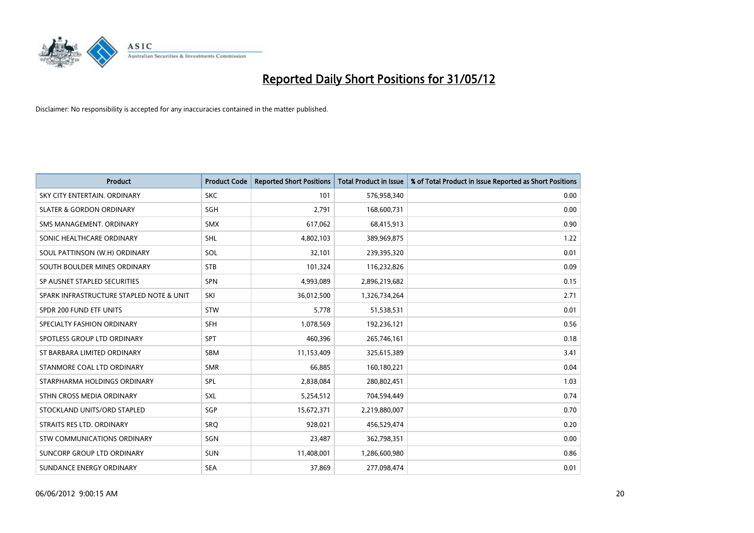

| <b>Product</b>                           | <b>Product Code</b> | <b>Reported Short Positions</b> | <b>Total Product in Issue</b> | % of Total Product in Issue Reported as Short Positions |
|------------------------------------------|---------------------|---------------------------------|-------------------------------|---------------------------------------------------------|
| SKY CITY ENTERTAIN, ORDINARY             | <b>SKC</b>          | 101                             | 576,958,340                   | 0.00                                                    |
| <b>SLATER &amp; GORDON ORDINARY</b>      | SGH                 | 2,791                           | 168,600,731                   | 0.00                                                    |
| SMS MANAGEMENT, ORDINARY                 | <b>SMX</b>          | 617,062                         | 68,415,913                    | 0.90                                                    |
| SONIC HEALTHCARE ORDINARY                | SHL                 | 4,802,103                       | 389,969,875                   | 1.22                                                    |
| SOUL PATTINSON (W.H) ORDINARY            | SOL                 | 32,101                          | 239,395,320                   | 0.01                                                    |
| SOUTH BOULDER MINES ORDINARY             | <b>STB</b>          | 101,324                         | 116,232,826                   | 0.09                                                    |
| SP AUSNET STAPLED SECURITIES             | <b>SPN</b>          | 4,993,089                       | 2,896,219,682                 | 0.15                                                    |
| SPARK INFRASTRUCTURE STAPLED NOTE & UNIT | SKI                 | 36,012,500                      | 1,326,734,264                 | 2.71                                                    |
| SPDR 200 FUND ETF UNITS                  | <b>STW</b>          | 5,778                           | 51,538,531                    | 0.01                                                    |
| SPECIALTY FASHION ORDINARY               | <b>SFH</b>          | 1,078,569                       | 192,236,121                   | 0.56                                                    |
| SPOTLESS GROUP LTD ORDINARY              | <b>SPT</b>          | 460,396                         | 265,746,161                   | 0.18                                                    |
| ST BARBARA LIMITED ORDINARY              | <b>SBM</b>          | 11,153,409                      | 325,615,389                   | 3.41                                                    |
| STANMORE COAL LTD ORDINARY               | <b>SMR</b>          | 66,885                          | 160,180,221                   | 0.04                                                    |
| STARPHARMA HOLDINGS ORDINARY             | SPL                 | 2,838,084                       | 280,802,451                   | 1.03                                                    |
| STHN CROSS MEDIA ORDINARY                | SXL                 | 5,254,512                       | 704,594,449                   | 0.74                                                    |
| STOCKLAND UNITS/ORD STAPLED              | SGP                 | 15,672,371                      | 2,219,880,007                 | 0.70                                                    |
| STRAITS RES LTD. ORDINARY                | <b>SRQ</b>          | 928,021                         | 456,529,474                   | 0.20                                                    |
| <b>STW COMMUNICATIONS ORDINARY</b>       | SGN                 | 23,487                          | 362,798,351                   | 0.00                                                    |
| SUNCORP GROUP LTD ORDINARY               | <b>SUN</b>          | 11,408,001                      | 1,286,600,980                 | 0.86                                                    |
| SUNDANCE ENERGY ORDINARY                 | <b>SEA</b>          | 37,869                          | 277,098,474                   | 0.01                                                    |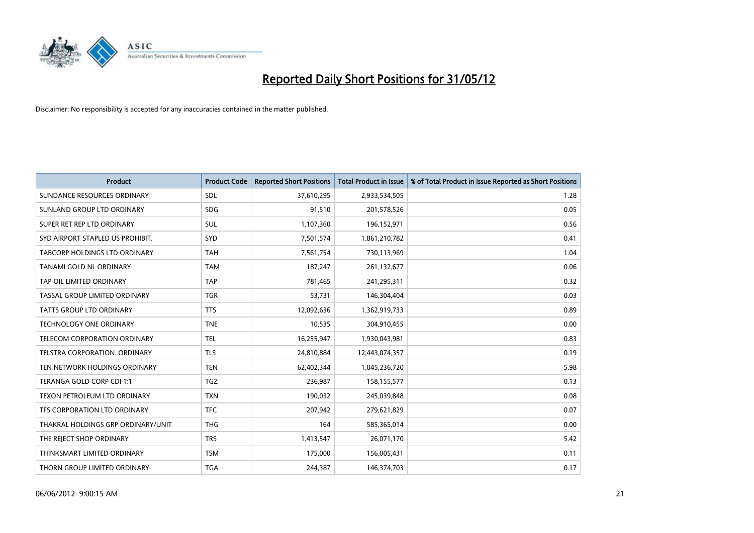

| <b>Product</b>                     | <b>Product Code</b> | <b>Reported Short Positions</b> | <b>Total Product in Issue</b> | % of Total Product in Issue Reported as Short Positions |
|------------------------------------|---------------------|---------------------------------|-------------------------------|---------------------------------------------------------|
| SUNDANCE RESOURCES ORDINARY        | <b>SDL</b>          | 37,610,295                      | 2,933,534,505                 | 1.28                                                    |
| SUNLAND GROUP LTD ORDINARY         | <b>SDG</b>          | 91,510                          | 201,578,526                   | 0.05                                                    |
| SUPER RET REP LTD ORDINARY         | SUL                 | 1,107,360                       | 196,152,971                   | 0.56                                                    |
| SYD AIRPORT STAPLED US PROHIBIT.   | <b>SYD</b>          | 7,501,574                       | 1,861,210,782                 | 0.41                                                    |
| TABCORP HOLDINGS LTD ORDINARY      | <b>TAH</b>          | 7,561,754                       | 730,113,969                   | 1.04                                                    |
| TANAMI GOLD NL ORDINARY            | <b>TAM</b>          | 187,247                         | 261,132,677                   | 0.06                                                    |
| TAP OIL LIMITED ORDINARY           | <b>TAP</b>          | 781,465                         | 241,295,311                   | 0.32                                                    |
| TASSAL GROUP LIMITED ORDINARY      | <b>TGR</b>          | 53,731                          | 146,304,404                   | 0.03                                                    |
| <b>TATTS GROUP LTD ORDINARY</b>    | <b>TTS</b>          | 12,092,636                      | 1,362,919,733                 | 0.89                                                    |
| <b>TECHNOLOGY ONE ORDINARY</b>     | <b>TNE</b>          | 10,535                          | 304,910,455                   | 0.00                                                    |
| TELECOM CORPORATION ORDINARY       | <b>TEL</b>          | 16,255,947                      | 1,930,043,981                 | 0.83                                                    |
| TELSTRA CORPORATION. ORDINARY      | <b>TLS</b>          | 24,810,884                      | 12,443,074,357                | 0.19                                                    |
| TEN NETWORK HOLDINGS ORDINARY      | <b>TEN</b>          | 62,402,344                      | 1,045,236,720                 | 5.98                                                    |
| TERANGA GOLD CORP CDI 1:1          | <b>TGZ</b>          | 236,987                         | 158,155,577                   | 0.13                                                    |
| TEXON PETROLEUM LTD ORDINARY       | <b>TXN</b>          | 190,032                         | 245,039,848                   | 0.08                                                    |
| TFS CORPORATION LTD ORDINARY       | <b>TFC</b>          | 207,942                         | 279,621,829                   | 0.07                                                    |
| THAKRAL HOLDINGS GRP ORDINARY/UNIT | <b>THG</b>          | 164                             | 585,365,014                   | 0.00                                                    |
| THE REJECT SHOP ORDINARY           | <b>TRS</b>          | 1,413,547                       | 26,071,170                    | 5.42                                                    |
| THINKSMART LIMITED ORDINARY        | <b>TSM</b>          | 175,000                         | 156,005,431                   | 0.11                                                    |
| THORN GROUP LIMITED ORDINARY       | <b>TGA</b>          | 244,387                         | 146,374,703                   | 0.17                                                    |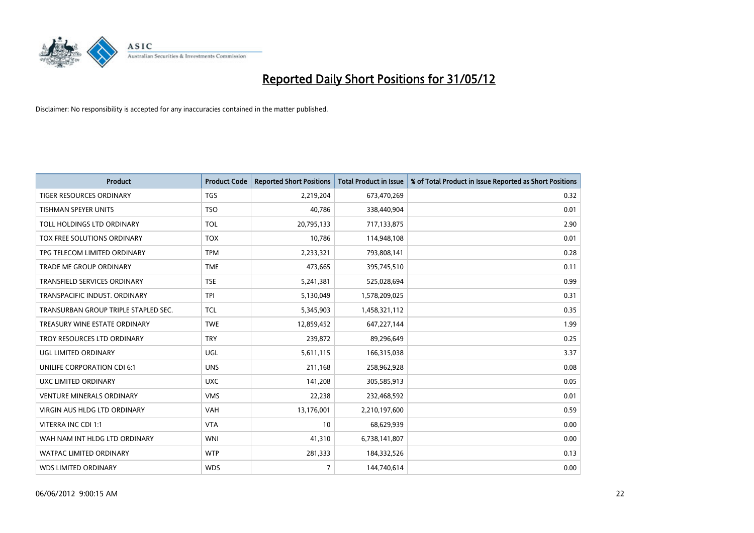

| <b>Product</b>                       | <b>Product Code</b> | <b>Reported Short Positions</b> | <b>Total Product in Issue</b> | % of Total Product in Issue Reported as Short Positions |
|--------------------------------------|---------------------|---------------------------------|-------------------------------|---------------------------------------------------------|
| <b>TIGER RESOURCES ORDINARY</b>      | <b>TGS</b>          | 2,219,204                       | 673,470,269                   | 0.32                                                    |
| TISHMAN SPEYER UNITS                 | <b>TSO</b>          | 40,786                          | 338,440,904                   | 0.01                                                    |
| TOLL HOLDINGS LTD ORDINARY           | <b>TOL</b>          | 20,795,133                      | 717,133,875                   | 2.90                                                    |
| TOX FREE SOLUTIONS ORDINARY          | <b>TOX</b>          | 10,786                          | 114,948,108                   | 0.01                                                    |
| TPG TELECOM LIMITED ORDINARY         | <b>TPM</b>          | 2,233,321                       | 793,808,141                   | 0.28                                                    |
| <b>TRADE ME GROUP ORDINARY</b>       | <b>TME</b>          | 473,665                         | 395,745,510                   | 0.11                                                    |
| TRANSFIELD SERVICES ORDINARY         | <b>TSE</b>          | 5,241,381                       | 525,028,694                   | 0.99                                                    |
| TRANSPACIFIC INDUST, ORDINARY        | <b>TPI</b>          | 5,130,049                       | 1,578,209,025                 | 0.31                                                    |
| TRANSURBAN GROUP TRIPLE STAPLED SEC. | <b>TCL</b>          | 5,345,903                       | 1,458,321,112                 | 0.35                                                    |
| TREASURY WINE ESTATE ORDINARY        | <b>TWE</b>          | 12,859,452                      | 647,227,144                   | 1.99                                                    |
| TROY RESOURCES LTD ORDINARY          | <b>TRY</b>          | 239,872                         | 89,296,649                    | 0.25                                                    |
| UGL LIMITED ORDINARY                 | UGL                 | 5,611,115                       | 166,315,038                   | 3.37                                                    |
| UNILIFE CORPORATION CDI 6:1          | <b>UNS</b>          | 211,168                         | 258,962,928                   | 0.08                                                    |
| UXC LIMITED ORDINARY                 | <b>UXC</b>          | 141,208                         | 305,585,913                   | 0.05                                                    |
| <b>VENTURE MINERALS ORDINARY</b>     | <b>VMS</b>          | 22,238                          | 232,468,592                   | 0.01                                                    |
| <b>VIRGIN AUS HLDG LTD ORDINARY</b>  | <b>VAH</b>          | 13,176,001                      | 2,210,197,600                 | 0.59                                                    |
| VITERRA INC CDI 1:1                  | <b>VTA</b>          | 10                              | 68,629,939                    | 0.00                                                    |
| WAH NAM INT HLDG LTD ORDINARY        | <b>WNI</b>          | 41,310                          | 6,738,141,807                 | 0.00                                                    |
| <b>WATPAC LIMITED ORDINARY</b>       | <b>WTP</b>          | 281,333                         | 184,332,526                   | 0.13                                                    |
| <b>WDS LIMITED ORDINARY</b>          | <b>WDS</b>          | $\overline{7}$                  | 144,740,614                   | 0.00                                                    |